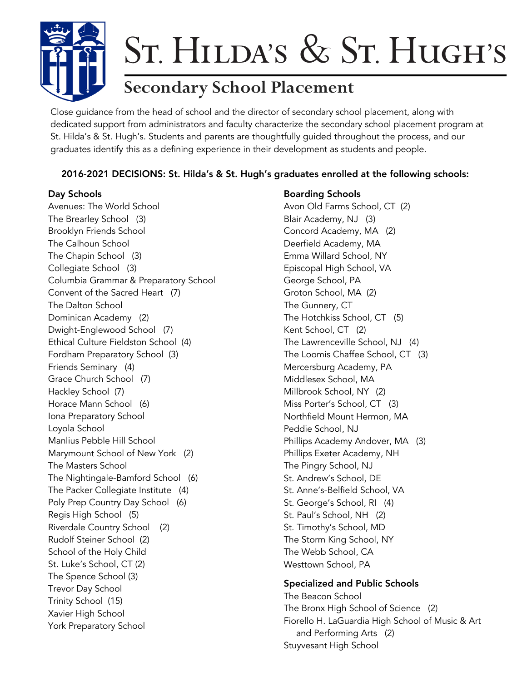

# St.Hilda's & St.Hugh's

# **Secondary School Placement**

Close guidance from the head of school and the director of secondary school placement, along with dedicated support from administrators and faculty characterize the secondary school placement program at St. Hilda's & St. Hugh's. Students and parents are thoughtfully guided throughout the process, and our graduates identify this as a defining experience in their development as students and people.

# 2016-2021 DECISIONS: St. Hilda's & St. Hugh's graduates enrolled at the following schools:

Avenues: The World School The Brearley School (3) Brooklyn Friends School The Calhoun School The Chapin School (3) Collegiate School (3) Columbia Grammar & Preparatory School Convent of the Sacred Heart (7) The Dalton School Dominican Academy (2) Dwight-Englewood School (7) Ethical Culture Fieldston School (4) Fordham Preparatory School (3) Friends Seminary (4) Grace Church School (7) Hackley School (7) Horace Mann School (6) Iona Preparatory School Loyola School Manlius Pebble Hill School Marymount School of New York (2) The Masters School The Nightingale-Bamford School (6) The Packer Collegiate Institute (4) Poly Prep Country Day School (6) Regis High School (5) Riverdale Country School (2) Rudolf Steiner School (2) School of the Holy Child St. Luke's School, CT (2) The Spence School (3) Trevor Day School Trinity School (15) Xavier High School York Preparatory School

# Day Schools **Boarding Schools**

Avon Old Farms School, CT (2) Blair Academy, NJ (3) Concord Academy, MA (2) Deerfield Academy, MA Emma Willard School, NY Episcopal High School, VA George School, PA Groton School, MA (2) The Gunnery, CT The Hotchkiss School, CT (5) Kent School, CT (2) The Lawrenceville School, NJ (4) The Loomis Chaffee School, CT (3) Mercersburg Academy, PA Middlesex School, MA Millbrook School, NY (2) Miss Porter's School, CT (3) Northfield Mount Hermon, MA Peddie School, NJ Phillips Academy Andover, MA (3) Phillips Exeter Academy, NH The Pingry School, NJ St. Andrew's School, DE St. Anne's-Belfield School, VA St. George's School, RI (4) St. Paul's School, NH (2) St. Timothy's School, MD The Storm King School, NY The Webb School, CA Westtown School, PA

### Specialized and Public Schools

The Beacon School The Bronx High School of Science (2) Fiorello H. LaGuardia High School of Music & Art and Performing Arts (2) Stuyvesant High School